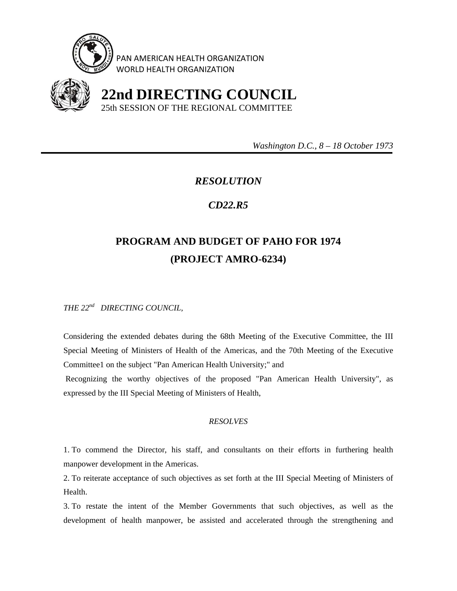

PAN AMERICAN HEALTH ORGANIZATION WORLD HEALTH ORGANIZATION



 **22nd DIRECTING COUNCIL** 25th SESSION OF THE REGIONAL COMMITTEE

 *Washington D.C., 8 – 18 October 1973* 

## *RESOLUTION*

## *CD22.R5*

## **PROGRAM AND BUDGET OF PAHO FOR 1974 (PROJECT AMRO-6234)**

*THE 22nd DIRECTING COUNCIL,* 

Considering the extended debates during the 68th Meeting of the Executive Committee, the III Special Meeting of Ministers of Health of the Americas, and the 70th Meeting of the Executive Committee1 on the subject "Pan American Health University;" and

 Recognizing the worthy objectives of the proposed "Pan American Health University", as expressed by the III Special Meeting of Ministers of Health,

## *RESOLVES*

1. To commend the Director, his staff, and consultants on their efforts in furthering health manpower development in the Americas.

2. To reiterate acceptance of such objectives as set forth at the III Special Meeting of Ministers of Health.

3. To restate the intent of the Member Governments that such objectives, as well as the development of health manpower, be assisted and accelerated through the strengthening and